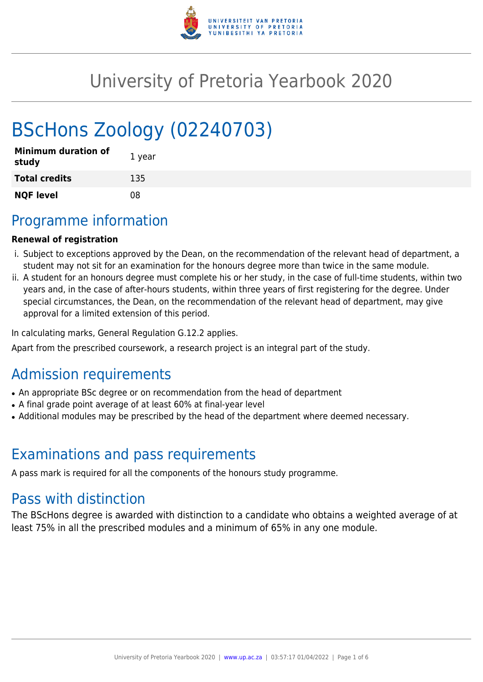

# University of Pretoria Yearbook 2020

# BScHons Zoology (02240703)

| <b>Minimum duration of</b><br>study | 1 year |
|-------------------------------------|--------|
| <b>Total credits</b>                | 135    |
| <b>NQF level</b>                    | 08     |

## Programme information

#### **Renewal of registration**

- i. Subject to exceptions approved by the Dean, on the recommendation of the relevant head of department, a student may not sit for an examination for the honours degree more than twice in the same module.
- ii. A student for an honours degree must complete his or her study, in the case of full-time students, within two years and, in the case of after-hours students, within three years of first registering for the degree. Under special circumstances, the Dean, on the recommendation of the relevant head of department, may give approval for a limited extension of this period.

In calculating marks, General Regulation G.12.2 applies.

Apart from the prescribed coursework, a research project is an integral part of the study.

## Admission requirements

- An appropriate BSc degree or on recommendation from the head of department
- A final grade point average of at least 60% at final-year level
- Additional modules may be prescribed by the head of the department where deemed necessary.

### Examinations and pass requirements

A pass mark is required for all the components of the honours study programme.

### Pass with distinction

The BScHons degree is awarded with distinction to a candidate who obtains a weighted average of at least 75% in all the prescribed modules and a minimum of 65% in any one module.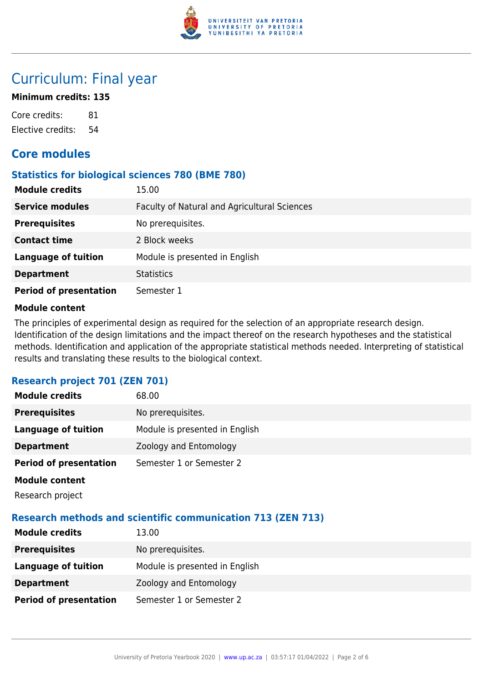

### Curriculum: Final year

#### **Minimum credits: 135**

Core credits: 81 Elective credits: 54

### **Core modules**

#### **Statistics for biological sciences 780 (BME 780)**

| <b>Module credits</b>         | 15.00                                        |
|-------------------------------|----------------------------------------------|
| <b>Service modules</b>        | Faculty of Natural and Agricultural Sciences |
| <b>Prerequisites</b>          | No prerequisites.                            |
| <b>Contact time</b>           | 2 Block weeks                                |
| <b>Language of tuition</b>    | Module is presented in English               |
| <b>Department</b>             | <b>Statistics</b>                            |
| <b>Period of presentation</b> | Semester 1                                   |

#### **Module content**

The principles of experimental design as required for the selection of an appropriate research design. Identification of the design limitations and the impact thereof on the research hypotheses and the statistical methods. Identification and application of the appropriate statistical methods needed. Interpreting of statistical results and translating these results to the biological context.

#### **Research project 701 (ZEN 701)**

| <b>Module credits</b>         | 68.00                          |
|-------------------------------|--------------------------------|
| <b>Prerequisites</b>          | No prerequisites.              |
| <b>Language of tuition</b>    | Module is presented in English |
| <b>Department</b>             | Zoology and Entomology         |
| <b>Period of presentation</b> | Semester 1 or Semester 2       |
| <b>Module content</b>         |                                |
| Research project              |                                |

#### **Research methods and scientific communication 713 (ZEN 713)**

| <b>Module credits</b>         | 13.00                          |
|-------------------------------|--------------------------------|
| <b>Prerequisites</b>          | No prerequisites.              |
| Language of tuition           | Module is presented in English |
| <b>Department</b>             | Zoology and Entomology         |
| <b>Period of presentation</b> | Semester 1 or Semester 2       |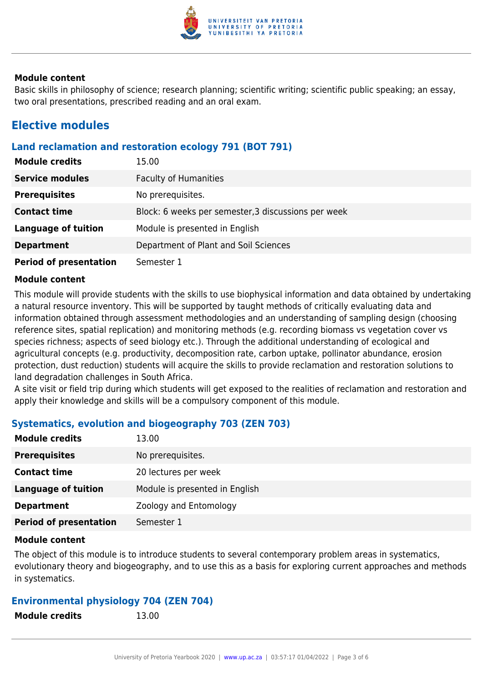

Basic skills in philosophy of science; research planning; scientific writing; scientific public speaking; an essay, two oral presentations, prescribed reading and an oral exam.

### **Elective modules**

#### **Land reclamation and restoration ecology 791 (BOT 791)**

| <b>Module credits</b>         | 15.00                                               |
|-------------------------------|-----------------------------------------------------|
| <b>Service modules</b>        | <b>Faculty of Humanities</b>                        |
| <b>Prerequisites</b>          | No prerequisites.                                   |
| <b>Contact time</b>           | Block: 6 weeks per semester, 3 discussions per week |
| <b>Language of tuition</b>    | Module is presented in English                      |
| <b>Department</b>             | Department of Plant and Soil Sciences               |
| <b>Period of presentation</b> | Semester 1                                          |

#### **Module content**

This module will provide students with the skills to use biophysical information and data obtained by undertaking a natural resource inventory. This will be supported by taught methods of critically evaluating data and information obtained through assessment methodologies and an understanding of sampling design (choosing reference sites, spatial replication) and monitoring methods (e.g. recording biomass vs vegetation cover vs species richness; aspects of seed biology etc.). Through the additional understanding of ecological and agricultural concepts (e.g. productivity, decomposition rate, carbon uptake, pollinator abundance, erosion protection, dust reduction) students will acquire the skills to provide reclamation and restoration solutions to land degradation challenges in South Africa.

A site visit or field trip during which students will get exposed to the realities of reclamation and restoration and apply their knowledge and skills will be a compulsory component of this module.

#### **Systematics, evolution and biogeography 703 (ZEN 703)**

| <b>Module credits</b>         | 13.00                          |
|-------------------------------|--------------------------------|
| <b>Prerequisites</b>          | No prerequisites.              |
| <b>Contact time</b>           | 20 lectures per week           |
| <b>Language of tuition</b>    | Module is presented in English |
| <b>Department</b>             | Zoology and Entomology         |
| <b>Period of presentation</b> | Semester 1                     |
|                               |                                |

#### **Module content**

The object of this module is to introduce students to several contemporary problem areas in systematics, evolutionary theory and biogeography, and to use this as a basis for exploring current approaches and methods in systematics.

#### **Environmental physiology 704 (ZEN 704)**

| <b>Module credits</b> | 13.00 |
|-----------------------|-------|
|                       |       |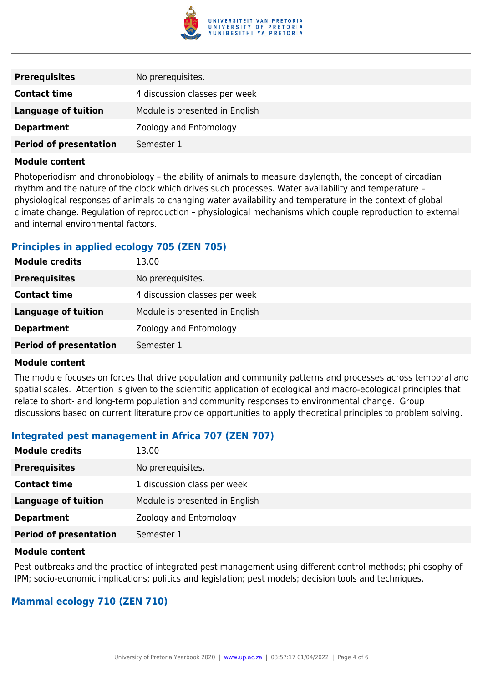

| <b>Prerequisites</b>          | No prerequisites.              |
|-------------------------------|--------------------------------|
| <b>Contact time</b>           | 4 discussion classes per week  |
| <b>Language of tuition</b>    | Module is presented in English |
| <b>Department</b>             | Zoology and Entomology         |
| <b>Period of presentation</b> | Semester 1                     |

Photoperiodism and chronobiology – the ability of animals to measure daylength, the concept of circadian rhythm and the nature of the clock which drives such processes. Water availability and temperature – physiological responses of animals to changing water availability and temperature in the context of global climate change. Regulation of reproduction – physiological mechanisms which couple reproduction to external and internal environmental factors.

#### **Principles in applied ecology 705 (ZEN 705)**

| <b>Module credits</b>         | 13.00                          |
|-------------------------------|--------------------------------|
| <b>Prerequisites</b>          | No prerequisites.              |
| <b>Contact time</b>           | 4 discussion classes per week  |
| <b>Language of tuition</b>    | Module is presented in English |
| <b>Department</b>             | Zoology and Entomology         |
| <b>Period of presentation</b> | Semester 1                     |

#### **Module content**

The module focuses on forces that drive population and community patterns and processes across temporal and spatial scales. Attention is given to the scientific application of ecological and macro-ecological principles that relate to short- and long-term population and community responses to environmental change. Group discussions based on current literature provide opportunities to apply theoretical principles to problem solving.

#### **Integrated pest management in Africa 707 (ZEN 707)**

| <b>Module credits</b>         | 13.00                          |
|-------------------------------|--------------------------------|
| <b>Prerequisites</b>          | No prerequisites.              |
| <b>Contact time</b>           | 1 discussion class per week    |
| <b>Language of tuition</b>    | Module is presented in English |
| <b>Department</b>             | Zoology and Entomology         |
| <b>Period of presentation</b> | Semester 1                     |

#### **Module content**

Pest outbreaks and the practice of integrated pest management using different control methods; philosophy of IPM; socio-economic implications; politics and legislation; pest models; decision tools and techniques.

#### **Mammal ecology 710 (ZEN 710)**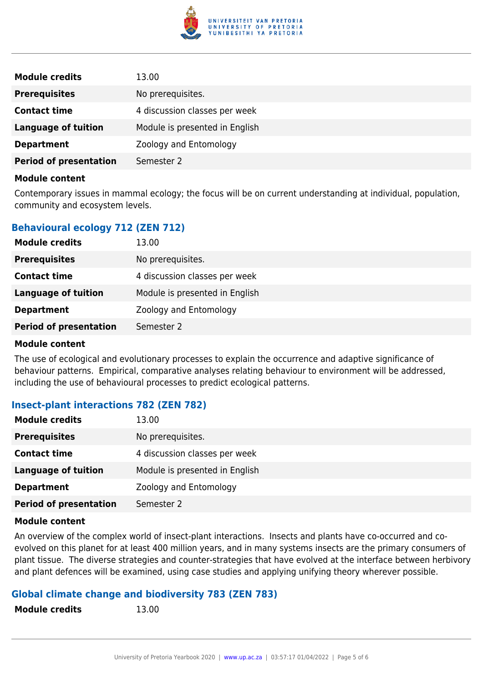

| <b>Module credits</b>         | 13.00                          |
|-------------------------------|--------------------------------|
| <b>Prerequisites</b>          | No prerequisites.              |
| <b>Contact time</b>           | 4 discussion classes per week  |
| <b>Language of tuition</b>    | Module is presented in English |
| <b>Department</b>             | Zoology and Entomology         |
| <b>Period of presentation</b> | Semester 2                     |

Contemporary issues in mammal ecology; the focus will be on current understanding at individual, population, community and ecosystem levels.

#### **Behavioural ecology 712 (ZEN 712)**

| <b>Module credits</b>         | 13.00                          |
|-------------------------------|--------------------------------|
| <b>Prerequisites</b>          | No prerequisites.              |
| <b>Contact time</b>           | 4 discussion classes per week  |
| <b>Language of tuition</b>    | Module is presented in English |
| <b>Department</b>             | Zoology and Entomology         |
| <b>Period of presentation</b> | Semester 2                     |
|                               |                                |

#### **Module content**

The use of ecological and evolutionary processes to explain the occurrence and adaptive significance of behaviour patterns. Empirical, comparative analyses relating behaviour to environment will be addressed, including the use of behavioural processes to predict ecological patterns.

#### **Insect-plant interactions 782 (ZEN 782)**

| <b>Module credits</b>         | 13.00                          |
|-------------------------------|--------------------------------|
| <b>Prerequisites</b>          | No prerequisites.              |
| <b>Contact time</b>           | 4 discussion classes per week  |
| <b>Language of tuition</b>    | Module is presented in English |
| <b>Department</b>             | Zoology and Entomology         |
| <b>Period of presentation</b> | Semester 2                     |

#### **Module content**

An overview of the complex world of insect-plant interactions. Insects and plants have co-occurred and coevolved on this planet for at least 400 million years, and in many systems insects are the primary consumers of plant tissue. The diverse strategies and counter-strategies that have evolved at the interface between herbivory and plant defences will be examined, using case studies and applying unifying theory wherever possible.

#### **Global climate change and biodiversity 783 (ZEN 783) Module credits** 13.00

| <b>Module credits</b> |  |  |  |
|-----------------------|--|--|--|
|-----------------------|--|--|--|